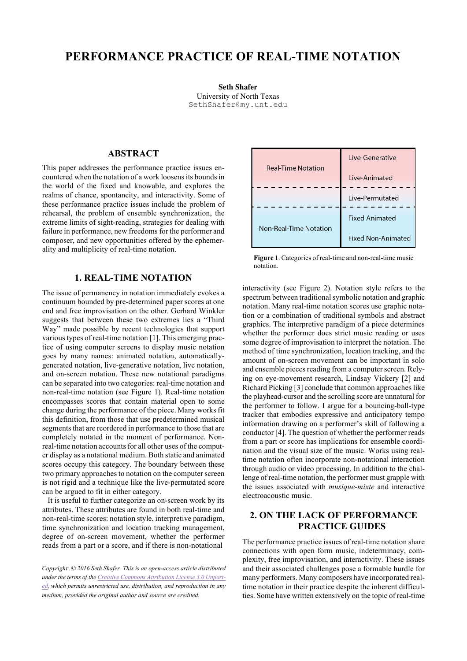# **PERFORMANCE PRACTICE OF REAL-TIME NOTATION**

**Seth Shafer** University of North Texas SethShafer@my.unt.edu

## **ABSTRACT**

This paper addresses the performance practice issues encountered when the notation of a work loosens its bounds in the world of the fixed and knowable, and explores the realms of chance, spontaneity, and interactivity. Some of these performance practice issues include the problem of rehearsal, the problem of ensemble synchronization, the extreme limits of sight-reading, strategies for dealing with failure in performance, new freedoms for the performer and composer, and new opportunities offered by the ephemerality and multiplicity of real-time notation.

### **1. REAL-TIME NOTATION**

The issue of permanency in notation immediately evokes a continuum bounded by pre-determined paper scores at one end and free improvisation on the other. Gerhard Winkler suggests that between these two extremes lies a "Third Way" made possible by recent technologies that support various types of real-time notation [1]. This emerging practice of using computer screens to display music notation goes by many names: animated notation, automaticallygenerated notation, live-generative notation, live notation, and on-screen notation. These new notational paradigms can be separated into two categories: real-time notation and non-real-time notation (see Figure 1). Real-time notation encompasses scores that contain material open to some change during the performance of the piece. Many works fit this definition, from those that use predetermined musical segments that are reordered in performance to those that are completely notated in the moment of performance. Nonreal-time notation accounts for all other uses of the computer display as a notational medium. Both static and animated scores occupy this category. The boundary between these two primary approaches to notation on the computer screen is not rigid and a technique like the live-permutated score can be argued to fit in either category.

It is useful to further categorize an on-screen work by its attributes. These attributes are found in both real-time and non-real-time scores: notation style, interpretive paradigm, time synchronization and location tracking management, degree of on-screen movement, whether the performer reads from a part or a score, and if there is non-notational

*Copyright: © 2016 Seth Shafer. This is an open-access article distributed under the terms of the Creative Commons Attribution License 3.0 Unported, which permits unrestricted use, distribution, and reproduction in any medium, provided the original author and source are credited.*



**Figure 1**. Categories of real-time and non-real-time music notation.

interactivity (see Figure 2). Notation style refers to the spectrum between traditional symbolic notation and graphic notation. Many real-time notation scores use graphic notation or a combination of traditional symbols and abstract graphics. The interpretive paradigm of a piece determines whether the performer does strict music reading or uses some degree of improvisation to interpret the notation. The method of time synchronization, location tracking, and the amount of on-screen movement can be important in solo and ensemble pieces reading from a computer screen. Relying on eye-movement research, Lindsay Vickery [2] and Richard Picking [3] conclude that common approaches like the playhead-cursor and the scrolling score are unnatural for the performer to follow. I argue for a bouncing-ball-type tracker that embodies expressive and anticipatory tempo information drawing on a performer's skill of following a conductor [4]. The question of whether the performer reads from a part or score has implications for ensemble coordination and the visual size of the music. Works using realtime notation often incorporate non-notational interaction through audio or video processing. In addition to the challenge of real-time notation, the performer must grapple with the issues associated with *musique-mixte* and interactive electroacoustic music.

## **2. ON THE LACK OF PERFORMANCE PRACTICE GUIDES**

The performance practice issues of real-time notation share connections with open form music, indeterminacy, complexity, free improvisation, and interactivity. These issues and their associated challenges pose a formable hurdle for many performers. Many composers have incorporated realtime notation in their practice despite the inherent difficulties. Some have written extensively on the topic of real-time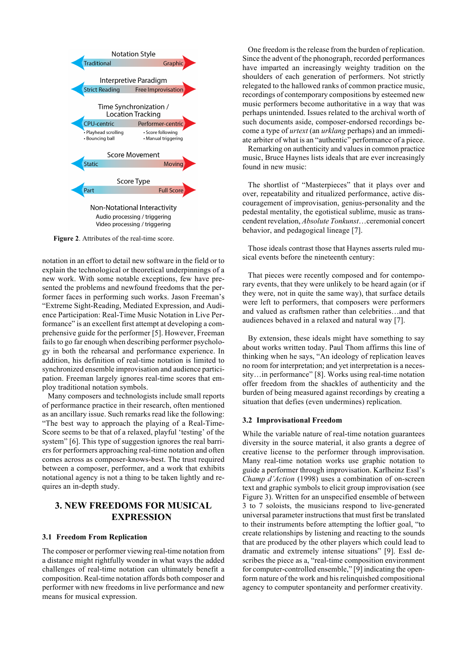

**Figure 2**. Attributes of the real-time score.

notation in an effort to detail new software in the field or to explain the technological or theoretical underpinnings of a new work. With some notable exceptions, few have presented the problems and newfound freedoms that the performer faces in performing such works. Jason Freeman's "Extreme Sight-Reading, Mediated Expression, and Audience Participation: Real-Time Music Notation in Live Performance" is an excellent first attempt at developing a comprehensive guide for the performer [5]. However, Freeman fails to go far enough when describing performer psychology in both the rehearsal and performance experience. In addition, his definition of real-time notation is limited to synchronized ensemble improvisation and audience participation. Freeman largely ignores real-time scores that employ traditional notation symbols.

Many composers and technologists include small reports of performance practice in their research, often mentioned as an ancillary issue. Such remarks read like the following: "The best way to approach the playing of a Real-Time-Score seems to be that of a relaxed, playful 'testing' of the system" [6]. This type of suggestion ignores the real barriers for performers approaching real-time notation and often comes across as composer-knows-best. The trust required between a composer, performer, and a work that exhibits notational agency is not a thing to be taken lightly and requires an in-depth study.

# **3. NEW FREEDOMS FOR MUSICAL EXPRESSION**

#### **3.1 Freedom From Replication**

The composer or performer viewing real-time notation from a distance might rightfully wonder in what ways the added challenges of real-time notation can ultimately benefit a composition. Real-time notation affords both composer and performer with new freedoms in live performance and new means for musical expression.

One freedom is the release from the burden of replication. Since the advent of the phonograph, recorded performances have imparted an increasingly weighty tradition on the shoulders of each generation of performers. Not strictly relegated to the hallowed ranks of common practice music, recordings of contemporary compositions by esteemed new music performers become authoritative in a way that was perhaps unintended. Issues related to the archival worth of such documents aside, composer-endorsed recordings become a type of *urtext* (an *urklang* perhaps) and an immediate arbiter of what is an "authentic" performance of a piece.

Remarking on authenticity and values in common practice music, Bruce Haynes lists ideals that are ever increasingly found in new music:

The shortlist of "Masterpieces" that it plays over and over, repeatability and ritualized performance, active discouragement of improvisation, genius-personality and the pedestal mentality, the egotistical sublime, music as transcendent revelation, *Absolute Tonkunst*…ceremonial concert behavior, and pedagogical lineage [7].

Those ideals contrast those that Haynes asserts ruled musical events before the nineteenth century:

That pieces were recently composed and for contemporary events, that they were unlikely to be heard again (or if they were, not in quite the same way), that surface details were left to performers, that composers were performers and valued as craftsmen rather than celebrities…and that audiences behaved in a relaxed and natural way [7].

By extension, these ideals might have something to say about works written today. Paul Thom affirms this line of thinking when he says, "An ideology of replication leaves no room for interpretation; and yet interpretation is a necessity…in performance" [8]. Works using real-time notation offer freedom from the shackles of authenticity and the burden of being measured against recordings by creating a situation that defies (even undermines) replication.

#### **3.2 Improvisational Freedom**

While the variable nature of real-time notation guarantees diversity in the source material, it also grants a degree of creative license to the performer through improvisation. Many real-time notation works use graphic notation to guide a performer through improvisation. Karlheinz Essl's *Champ d'Action* (1998) uses a combination of on-screen text and graphic symbols to elicit group improvisation (see Figure 3). Written for an unspecified ensemble of between 3 to 7 soloists, the musicians respond to live-generated universal parameter instructions that must first be translated to their instruments before attempting the loftier goal, "to create relationships by listening and reacting to the sounds that are produced by the other players which could lead to dramatic and extremely intense situations" [9]. Essl describes the piece as a, "real-time composition environment for computer-controlled ensemble," [9] indicating the openform nature of the work and his relinquished compositional agency to computer spontaneity and performer creativity.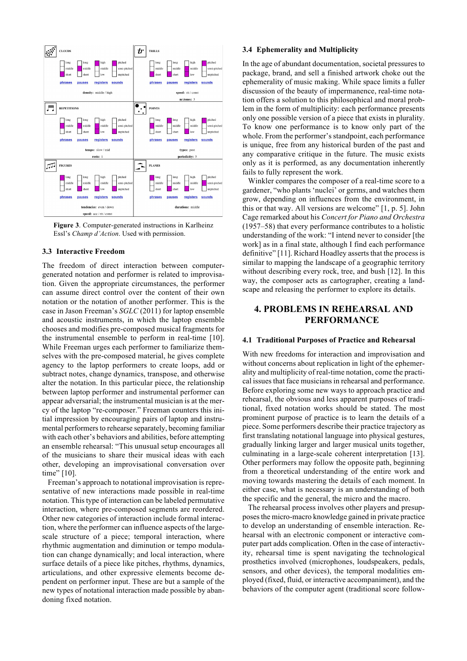

**Figure 3**. Computer-generated instructions in Karlheinz Essl's *Champ d'Action*. Used with permission.

#### **3.3 Interactive Freedom**

The freedom of direct interaction between computergenerated notation and performer is related to improvisation. Given the appropriate circumstances, the performer can assume direct control over the content of their own notation or the notation of another performer. This is the case in Jason Freeman's *SGLC* (2011) for laptop ensemble and acoustic instruments, in which the laptop ensemble chooses and modifies pre-composed musical fragments for the instrumental ensemble to perform in real-time [10]. While Freeman urges each performer to familiarize themselves with the pre-composed material, he gives complete agency to the laptop performers to create loops, add or subtract notes, change dynamics, transpose, and otherwise alter the notation. In this particular piece, the relationship between laptop performer and instrumental performer can appear adversarial; the instrumental musician is at the mercy of the laptop "re-composer." Freeman counters this initial impression by encouraging pairs of laptop and instrumental performers to rehearse separately, becoming familiar with each other's behaviors and abilities, before attempting an ensemble rehearsal: "This unusual setup encourages all of the musicians to share their musical ideas with each other, developing an improvisational conversation over time" [10].

Freeman's approach to notational improvisation is representative of new interactions made possible in real-time notation. This type of interaction can be labeled permutative interaction, where pre-composed segments are reordered. Other new categories of interaction include formal interaction, where the performer can influence aspects of the largescale structure of a piece; temporal interaction, where rhythmic augmentation and diminution or tempo modulation can change dynamically; and local interaction, where surface details of a piece like pitches, rhythms, dynamics, articulations, and other expressive elements become dependent on performer input. These are but a sample of the new types of notational interaction made possible by abandoning fixed notation.

#### **3.4 Ephemerality and Multiplicity**

In the age of abundant documentation, societal pressures to package, brand, and sell a finished artwork choke out the ephemerality of music making. While space limits a fuller discussion of the beauty of impermanence, real-time notation offers a solution to this philosophical and moral problem in the form of multiplicity: each performance presents only one possible version of a piece that exists in plurality. To know one performance is to know only part of the whole. From the performer's standpoint, each performance is unique, free from any historical burden of the past and any comparative critique in the future. The music exists only as it is performed, as any documentation inherently fails to fully represent the work.

Winkler compares the composer of a real-time score to a gardener, "who plants 'nuclei' or germs, and watches them grow, depending on influences from the environment, in this or that way. All versions are welcome" [1, p. 5]. John Cage remarked about his *Concert for Piano and Orchestra* (1957–58) that every performance contributes to a holistic understanding of the work: "I intend never to consider [the work] as in a final state, although I find each performance definitive" [11]. Richard Hoadley asserts that the process is similar to mapping the landscape of a geographic territory without describing every rock, tree, and bush [12]. In this way, the composer acts as cartographer, creating a landscape and releasing the performer to explore its details.

### **4. PROBLEMS IN REHEARSAL AND PERFORMANCE**

#### **4.1 Traditional Purposes of Practice and Rehearsal**

With new freedoms for interaction and improvisation and without concerns about replication in light of the ephemerality and multiplicity of real-time notation, come the practical issues that face musicians in rehearsal and performance. Before exploring some new ways to approach practice and rehearsal, the obvious and less apparent purposes of traditional, fixed notation works should be stated. The most prominent purpose of practice is to learn the details of a piece. Some performers describe their practice trajectory as first translating notational language into physical gestures, gradually linking larger and larger musical units together, culminating in a large-scale coherent interpretation [13]. Other performers may follow the opposite path, beginning from a theoretical understanding of the entire work and moving towards mastering the details of each moment. In either case, what is necessary is an understanding of both the specific and the general, the micro and the macro.

The rehearsal process involves other players and presupposes the micro-macro knowledge gained in private practice to develop an understanding of ensemble interaction. Rehearsal with an electronic component or interactive computer part adds complication. Often in the case of interactivity, rehearsal time is spent navigating the technological prosthetics involved (microphones, loudspeakers, pedals, sensors, and other devices), the temporal modalities employed (fixed, fluid, or interactive accompaniment), and the behaviors of the computer agent (traditional score follow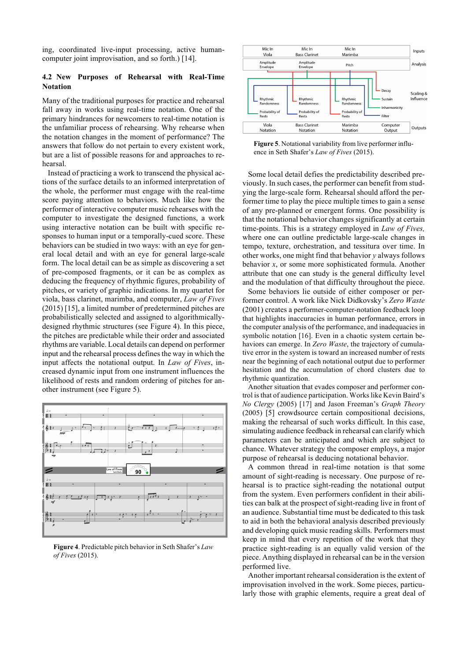ing, coordinated live-input processing, active humancomputer joint improvisation, and so forth.) [14].

### **4.2 New Purposes of Rehearsal with Real-Time Notation**

Many of the traditional purposes for practice and rehearsal fall away in works using real-time notation. One of the primary hindrances for newcomers to real-time notation is the unfamiliar process of rehearsing. Why rehearse when the notation changes in the moment of performance? The answers that follow do not pertain to every existent work, but are a list of possible reasons for and approaches to rehearsal.

Instead of practicing a work to transcend the physical actions of the surface details to an informed interpretation of the whole, the performer must engage with the real-time score paying attention to behaviors. Much like how the performer of interactive computer music rehearses with the computer to investigate the designed functions, a work using interactive notation can be built with specific responses to human input or a temporally-cued score. These behaviors can be studied in two ways: with an eye for general local detail and with an eye for general large-scale form. The local detail can be as simple as discovering a set of pre-composed fragments, or it can be as complex as deducing the frequency of rhythmic figures, probability of pitches, or variety of graphic indications. In my quartet for viola, bass clarinet, marimba, and computer, *Law of Fives* (2015) [15], a limited number of predetermined pitches are probabilistically selected and assigned to algorithmicallydesigned rhythmic structures (see Figure 4). In this piece, the pitches are predictable while their order and associated rhythms are variable. Local details can depend on performer input and the rehearsal process defines the way in which the input affects the notational output. In *Law of Fives*, increased dynamic input from one instrument influences the likelihood of rests and random ordering of pitches for another instrument (see Figure 5).



**Figure 4**. Predictable pitch behavior in Seth Shafer's *Law of Fives* (2015).



**Figure 5**. Notational variability from live performer influence in Seth Shafer's *Law of Fives* (2015).

Some local detail defies the predictability described previously. In such cases, the performer can benefit from studying the large-scale form. Rehearsal should afford the performer time to play the piece multiple times to gain a sense of any pre-planned or emergent forms. One possibility is that the notational behavior changes significantly at certain time-points. This is a strategy employed in *Law of Fives,* where one can outline predictable large-scale changes in tempo, texture, orchestration, and tessitura over time. In other works, one might find that behavior *y* always follows behavior *x*, or some more sophisticated formula. Another attribute that one can study is the general difficulty level and the modulation of that difficulty throughout the piece.

Some behaviors lie outside of either composer or performer control. A work like Nick Didkovsky's *Zero Waste*  (2001) creates a performer-computer-notation feedback loop that highlights inaccuracies in human performance, errors in the computer analysis of the performance, and inadequacies in symbolic notation [16]. Even in a chaotic system certain behaviors can emerge. In *Zero Waste*, the trajectory of cumulative error in the system is toward an increased number of rests near the beginning of each notational output due to performer hesitation and the accumulation of chord clusters due to rhythmic quantization.

Another situation that evades composer and performer control is that of audience participation. Works like Kevin Baird's *No Clergy* (2005) [17] and Jason Freeman's *Graph Theory* (2005) [5] crowdsource certain compositional decisions, making the rehearsal of such works difficult. In this case, simulating audience feedback in rehearsal can clarify which parameters can be anticipated and which are subject to chance. Whatever strategy the composer employs, a major purpose of rehearsal is deducing notational behavior.

A common thread in real-time notation is that some amount of sight-reading is necessary. One purpose of rehearsal is to practice sight-reading the notational output from the system. Even performers confident in their abilities can balk at the prospect of sight-reading live in front of an audience. Substantial time must be dedicated to this task to aid in both the behavioral analysis described previously and developing quick music reading skills. Performers must keep in mind that every repetition of the work that they practice sight-reading is an equally valid version of the piece. Anything displayed in rehearsal can be in the version performed live.

Another important rehearsal consideration is the extent of improvisation involved in the work. Some pieces, particularly those with graphic elements, require a great deal of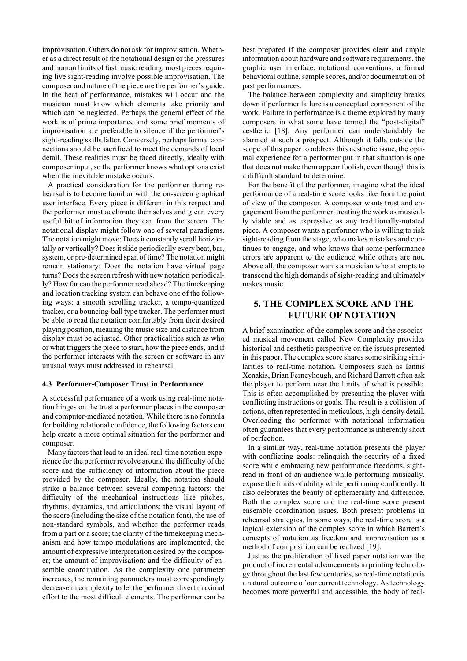improvisation. Others do not ask for improvisation. Whether as a direct result of the notational design or the pressures and human limits of fast music reading, most pieces requiring live sight-reading involve possible improvisation. The composer and nature of the piece are the performer's guide. In the heat of performance, mistakes will occur and the musician must know which elements take priority and which can be neglected. Perhaps the general effect of the work is of prime importance and some brief moments of improvisation are preferable to silence if the performer's sight-reading skills falter. Conversely, perhaps formal connections should be sacrificed to meet the demands of local detail. These realities must be faced directly, ideally with composer input, so the performer knows what options exist when the inevitable mistake occurs.

A practical consideration for the performer during rehearsal is to become familiar with the on-screen graphical user interface. Every piece is different in this respect and the performer must acclimate themselves and glean every useful bit of information they can from the screen. The notational display might follow one of several paradigms. The notation might move: Does it constantly scroll horizontally or vertically? Does it slide periodically every beat, bar, system, or pre-determined span of time? The notation might remain stationary: Does the notation have virtual page turns? Does the screen refresh with new notation periodically? How far can the performer read ahead? The timekeeping and location tracking system can behave one of the following ways: a smooth scrolling tracker, a tempo-quantized tracker, or a bouncing-ball type tracker. The performer must be able to read the notation comfortably from their desired playing position, meaning the music size and distance from display must be adjusted. Other practicalities such as who or what triggers the piece to start, how the piece ends, and if the performer interacts with the screen or software in any unusual ways must addressed in rehearsal.

#### **4.3 Performer-Composer Trust in Performance**

A successful performance of a work using real-time notation hinges on the trust a performer places in the composer and computer-mediated notation. While there is no formula for building relational confidence, the following factors can help create a more optimal situation for the performer and composer.

Many factors that lead to an ideal real-time notation experience for the performer revolve around the difficulty of the score and the sufficiency of information about the piece provided by the composer. Ideally, the notation should strike a balance between several competing factors: the difficulty of the mechanical instructions like pitches, rhythms, dynamics, and articulations; the visual layout of the score (including the size of the notation font), the use of non-standard symbols, and whether the performer reads from a part or a score; the clarity of the timekeeping mechanism and how tempo modulations are implemented; the amount of expressive interpretation desired by the composer; the amount of improvisation; and the difficulty of ensemble coordination. As the complexity one parameter increases, the remaining parameters must correspondingly decrease in complexity to let the performer divert maximal effort to the most difficult elements. The performer can be

best prepared if the composer provides clear and ample information about hardware and software requirements, the graphic user interface, notational conventions, a formal behavioral outline, sample scores, and/or documentation of past performances.

The balance between complexity and simplicity breaks down if performer failure is a conceptual component of the work. Failure in performance is a theme explored by many composers in what some have termed the "post-digital" aesthetic [18]. Any performer can understandably be alarmed at such a prospect. Although it falls outside the scope of this paper to address this aesthetic issue, the optimal experience for a performer put in that situation is one that does not make them appear foolish, even though this is a difficult standard to determine.

For the benefit of the performer, imagine what the ideal performance of a real-time score looks like from the point of view of the composer. A composer wants trust and engagement from the performer, treating the work as musically viable and as expressive as any traditionally-notated piece. A composer wants a performer who is willing to risk sight-reading from the stage, who makes mistakes and continues to engage, and who knows that some performance errors are apparent to the audience while others are not. Above all, the composer wants a musician who attempts to transcend the high demands of sight-reading and ultimately makes music.

# **5. THE COMPLEX SCORE AND THE FUTURE OF NOTATION**

A brief examination of the complex score and the associated musical movement called New Complexity provides historical and aesthetic perspective on the issues presented in this paper. The complex score shares some striking similarities to real-time notation. Composers such as Iannis Xenakis, Brian Ferneyhough, and Richard Barrett often ask the player to perform near the limits of what is possible. This is often accomplished by presenting the player with conflicting instructions or goals. The result is a collision of actions, often represented in meticulous, high-density detail. Overloading the performer with notational information often guarantees that every performance is inherently short of perfection.

In a similar way, real-time notation presents the player with conflicting goals: relinquish the security of a fixed score while embracing new performance freedoms, sightread in front of an audience while performing musically, expose the limits of ability while performing confidently. It also celebrates the beauty of ephemerality and difference. Both the complex score and the real-time score present ensemble coordination issues. Both present problems in rehearsal strategies. In some ways, the real-time score is a logical extension of the complex score in which Barrett's concepts of notation as freedom and improvisation as a method of composition can be realized [19].

Just as the proliferation of fixed paper notation was the product of incremental advancements in printing technology throughout the last few centuries, so real-time notation is a natural outcome of our current technology. As technology becomes more powerful and accessible, the body of real